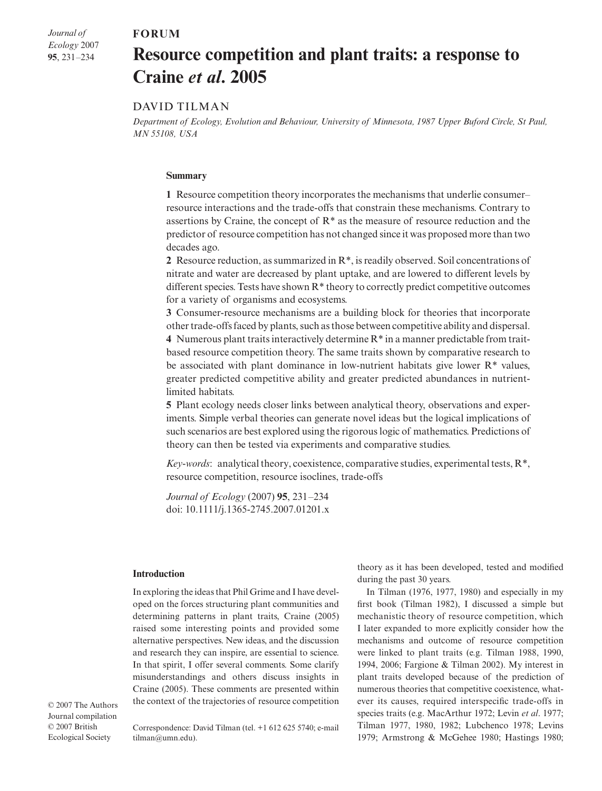### $FORUM$

*Journal of Ecology* 2007 **95**, 231–234

# **Resource competition and plant traits: a response to Craine** *et al***. 2005**

## DAVID TILMAN

*Department of Ecology, Evolution and Behaviour, University of Minnesota, 1987 Upper Buford Circle, St Paul, MN 55108, USA* 

#### **Summary**

**1** Resource competition theory incorporates the mechanisms that underlie consumer– resource interactions and the trade-offs that constrain these mechanisms. Contrary to assertions by Craine, the concept of R\* as the measure of resource reduction and the predictor of resource competition has not changed since it was proposed more than two decades ago.

**2** Resource reduction, as summarized in  $\mathbb{R}^*$ , is readily observed. Soil concentrations of nitrate and water are decreased by plant uptake, and are lowered to different levels by different species. Tests have shown  $\mathbb{R}^*$  theory to correctly predict competitive outcomes for a variety of organisms and ecosystems.

**3** Consumer-resource mechanisms are a building block for theories that incorporate other trade-offs faced by plants, such as those between competitive ability and dispersal. **4** Numerous plant traits interactively determine R\* in a manner predictable from traitbased resource competition theory. The same traits shown by comparative research to be associated with plant dominance in low-nutrient habitats give lower  $R^*$  values, greater predicted competitive ability and greater predicted abundances in nutrientlimited habitats.

**5** Plant ecology needs closer links between analytical theory, observations and experiments. Simple verbal theories can generate novel ideas but the logical implications of such scenarios are best explored using the rigorous logic of mathematics. Predictions of theory can then be tested via experiments and comparative studies.

*Key-words*: analytical theory, coexistence, comparative studies, experimental tests, R\*, resource competition, resource isoclines, trade-offs

*Journal of Ecology* (2007) **95**, 231–234 doi: 10.1111/j.1365-2745.2007.01201.x

#### **Introduction**

In exploring the ideas that Phil Grime and I have developed on the forces structuring plant communities and determining patterns in plant traits, Craine (2005) raised some interesting points and provided some alternative perspectives. New ideas, and the discussion and research they can inspire, are essential to science. In that spirit, I offer several comments. Some clarify misunderstandings and others discuss insights in Craine (2005). These comments are presented within the context of the trajectories of resource competition

© 2007 The Authors Journal compilation © 2007 British Ecological Society

Correspondence: David Tilman (tel. +1 612 625 5740; e-mail tilman@umn.edu).

theory as it has been developed, tested and modified during the past 30 years.

In Tilman (1976, 1977, 1980) and especially in my first book (Tilman 1982), I discussed a simple but mechanistic theory of resource competition, which I later expanded to more explicitly consider how the mechanisms and outcome of resource competition were linked to plant traits (e.g. Tilman 1988, 1990, 1994, 2006; Fargione & Tilman 2002). My interest in plant traits developed because of the prediction of numerous theories that competitive coexistence, whatever its causes, required interspecific trade-offs in species traits (e.g. MacArthur 1972; Levin *et al*. 1977; Tilman 1977, 1980, 1982; Lubchenco 1978; Levins 1979; Armstrong & McGehee 1980; Hastings 1980;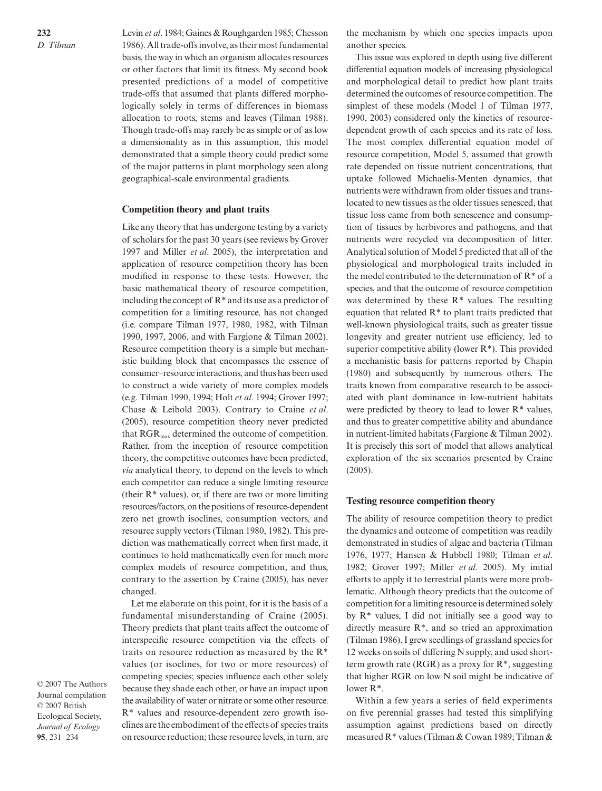Levin *et al*. 1984; Gaines & Roughgarden 1985; Chesson 1986). All trade-offs involve, as their most fundamental basis, the way in which an organism allocates resources or other factors that limit its fitness. My second book presented predictions of a model of competitive trade-offs that assumed that plants differed morphologically solely in terms of differences in biomass allocation to roots, stems and leaves (Tilman 1988). Though trade-offs may rarely be as simple or of as low a dimensionality as in this assumption, this model demonstrated that a simple theory could predict some of the major patterns in plant morphology seen along geographical-scale environmental gradients.

#### **Competition theory and plant traits**

Like any theory that has undergone testing by a variety of scholars for the past 30 years (see reviews by Grover 1997 and Miller *et al*. 2005), the interpretation and application of resource competition theory has been modified in response to these tests. However, the basic mathematical theory of resource competition, including the concept of  $R^*$  and its use as a predictor of competition for a limiting resource, has not changed (i.e. compare Tilman 1977, 1980, 1982, with Tilman 1990, 1997, 2006, and with Fargione & Tilman 2002). Resource competition theory is a simple but mechanistic building block that encompasses the essence of consumer–resource interactions, and thus has been used to construct a wide variety of more complex models (e.g. Tilman 1990, 1994; Holt *et al*. 1994; Grover 1997; Chase & Leibold 2003). Contrary to Craine *et al*. (2005), resource competition theory never predicted that  $RGR<sub>max</sub>$  determined the outcome of competition. Rather, from the inception of resource competition theory, the competitive outcomes have been predicted, *via* analytical theory, to depend on the levels to which each competitor can reduce a single limiting resource (their  $R^*$  values), or, if there are two or more limiting resources/factors, on the positions of resource-dependent zero net growth isoclines, consumption vectors, and resource supply vectors (Tilman 1980, 1982). This prediction was mathematically correct when first made, it continues to hold mathematically even for much more complex models of resource competition, and thus, contrary to the assertion by Craine (2005), has never changed.

Let me elaborate on this point, for it is the basis of a fundamental misunderstanding of Craine (2005). Theory predicts that plant traits affect the outcome of interspecific resource competition via the effects of traits on resource reduction as measured by the R\* values (or isoclines, for two or more resources) of competing species; species influence each other solely because they shade each other, or have an impact upon the availability of water or nitrate or some other resource. R\* values and resource-dependent zero growth isoclines are the embodiment of the effects of species traits on resource reduction; these resource levels, in turn, are

the mechanism by which one species impacts upon another species.

This issue was explored in depth using five different differential equation models of increasing physiological and morphological detail to predict how plant traits determined the outcomes of resource competition. The simplest of these models (Model 1 of Tilman 1977, 1990, 2003) considered only the kinetics of resourcedependent growth of each species and its rate of loss. The most complex differential equation model of resource competition, Model 5, assumed that growth rate depended on tissue nutrient concentrations, that uptake followed Michaelis-Menten dynamics, that nutrients were withdrawn from older tissues and translocated to new tissues as the older tissues senesced, that tissue loss came from both senescence and consumption of tissues by herbivores and pathogens, and that nutrients were recycled via decomposition of litter. Analytical solution of Model 5 predicted that all of the physiological and morphological traits included in the model contributed to the determination of  $R^*$  of a species, and that the outcome of resource competition was determined by these  $R^*$  values. The resulting equation that related R\* to plant traits predicted that well-known physiological traits, such as greater tissue longevity and greater nutrient use efficiency, led to superior competitive ability (lower  $R^*$ ). This provided a mechanistic basis for patterns reported by Chapin (1980) and subsequently by numerous others. The traits known from comparative research to be associated with plant dominance in low-nutrient habitats were predicted by theory to lead to lower R\* values, and thus to greater competitive ability and abundance in nutrient-limited habitats (Fargione & Tilman 2002). It is precisely this sort of model that allows analytical exploration of the six scenarios presented by Craine (2005).

#### **Testing resource competition theory**

The ability of resource competition theory to predict the dynamics and outcome of competition was readily demonstrated in studies of algae and bacteria (Tilman 1976, 1977; Hansen & Hubbell 1980; Tilman *et al*. 1982; Grover 1997; Miller *et al*. 2005). My initial efforts to apply it to terrestrial plants were more problematic. Although theory predicts that the outcome of competition for a limiting resource is determined solely by R\* values, I did not initially see a good way to directly measure R\*, and so tried an approximation (Tilman 1986). I grew seedlings of grassland species for 12 weeks on soils of differing N supply, and used shortterm growth rate (RGR) as a proxy for  $R^*$ , suggesting that higher RGR on low N soil might be indicative of lower R\*.

Within a few years a series of field experiments on five perennial grasses had tested this simplifying assumption against predictions based on directly measured R\* values (Tilman & Cowan 1989; Tilman &

© 2007 The Authors Journal compilation © 2007 British Ecological Society, *Journal of Ecology*  **95**, 231–234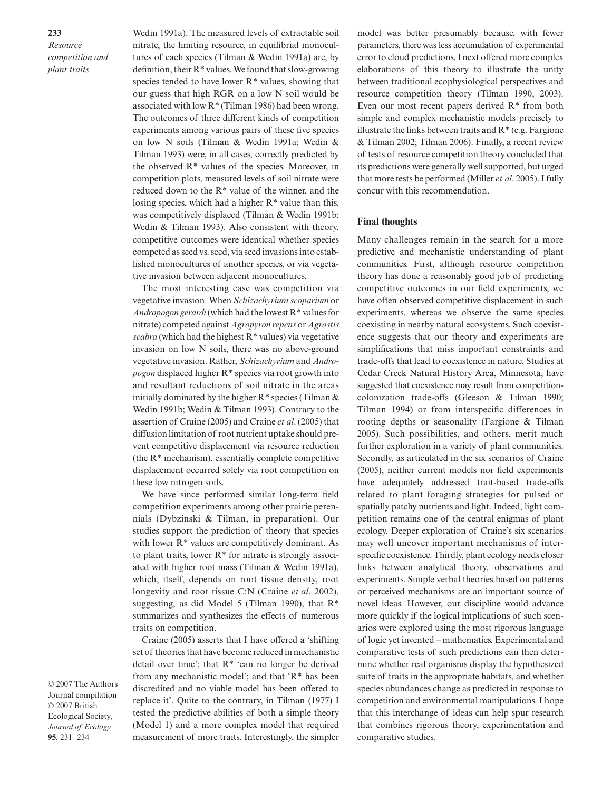*Resource competition and plant traits*

**233**

Wedin 1991a). The measured levels of extractable soil nitrate, the limiting resource, in equilibrial monocultures of each species (Tilman & Wedin 1991a) are, by definition, their R\* values. We found that slow-growing species tended to have lower  $R^*$  values, showing that our guess that high RGR on a low N soil would be associated with low R\* (Tilman 1986) had been wrong. The outcomes of three different kinds of competition experiments among various pairs of these five species on low N soils (Tilman & Wedin 1991a; Wedin & Tilman 1993) were, in all cases, correctly predicted by the observed R\* values of the species. Moreover, in competition plots, measured levels of soil nitrate were reduced down to the R\* value of the winner, and the losing species, which had a higher  $R^*$  value than this, was competitively displaced (Tilman & Wedin 1991b; Wedin & Tilman 1993). Also consistent with theory, competitive outcomes were identical whether species competed as seed vs. seed, via seed invasions into established monocultures of another species, or via vegetative invasion between adjacent monocultures.

The most interesting case was competition via vegetative invasion. When *Schizachyrium scoparium* or *Andropogon gerardi*(which had the lowest R\* values for nitrate) competed against *Agropyron repens* or *Agrostis scabra* (which had the highest R\* values) via vegetative invasion on low N soils, there was no above-ground vegetative invasion. Rather, *Schizachyrium* and *Andropogon* displaced higher R\* species via root growth into and resultant reductions of soil nitrate in the areas initially dominated by the higher  $R^*$  species (Tilman  $\&$ Wedin 1991b; Wedin & Tilman 1993). Contrary to the assertion of Craine (2005) and Craine *et al*. (2005) that diffusion limitation of root nutrient uptake should prevent competitive displacement via resource reduction (the R\* mechanism), essentially complete competitive displacement occurred solely via root competition on these low nitrogen soils.

We have since performed similar long-term field competition experiments among other prairie perennials (Dybzinski & Tilman, in preparation). Our studies support the prediction of theory that species with lower R\* values are competitively dominant. As to plant traits, lower R\* for nitrate is strongly associated with higher root mass (Tilman & Wedin 1991a), which, itself, depends on root tissue density, root longevity and root tissue C:N (Craine *et al*. 2002), suggesting, as did Model 5 (Tilman 1990), that  $R^*$ summarizes and synthesizes the effects of numerous traits on competition.

Craine (2005) asserts that I have offered a 'shifting set of theories that have become reduced in mechanistic detail over time'; that R\* 'can no longer be derived from any mechanistic model'; and that 'R\* has been discredited and no viable model has been offered to replace it'. Quite to the contrary, in Tilman (1977) I tested the predictive abilities of both a simple theory (Model 1) and a more complex model that required measurement of more traits. Interestingly, the simpler

model was better presumably because, with fewer parameters, there was less accumulation of experimental error to cloud predictions. I next offered more complex elaborations of this theory to illustrate the unity between traditional ecophysiological perspectives and resource competition theory (Tilman 1990, 2003). Even our most recent papers derived R\* from both simple and complex mechanistic models precisely to illustrate the links between traits and  $R^*$  (e.g. Fargione & Tilman 2002; Tilman 2006). Finally, a recent review of tests of resource competition theory concluded that its predictions were generally well supported, but urged that more tests be performed (Miller *et al*. 2005). I fully concur with this recommendation.

#### **Final thoughts**

Many challenges remain in the search for a more predictive and mechanistic understanding of plant communities. First, although resource competition theory has done a reasonably good job of predicting competitive outcomes in our field experiments, we have often observed competitive displacement in such experiments, whereas we observe the same species coexisting in nearby natural ecosystems. Such coexistence suggests that our theory and experiments are simplifications that miss important constraints and trade-offs that lead to coexistence in nature. Studies at Cedar Creek Natural History Area, Minnesota, have suggested that coexistence may result from competitioncolonization trade-offs (Gleeson & Tilman 1990; Tilman 1994) or from interspecific differences in rooting depths or seasonality (Fargione & Tilman 2005). Such possibilities, and others, merit much further exploration in a variety of plant communities. Secondly, as articulated in the six scenarios of Craine (2005), neither current models nor field experiments have adequately addressed trait-based trade-offs related to plant foraging strategies for pulsed or spatially patchy nutrients and light. Indeed, light competition remains one of the central enigmas of plant ecology. Deeper exploration of Craine's six scenarios may well uncover important mechanisms of interspecific coexistence. Thirdly, plant ecology needs closer links between analytical theory, observations and experiments. Simple verbal theories based on patterns or perceived mechanisms are an important source of novel ideas. However, our discipline would advance more quickly if the logical implications of such scenarios were explored using the most rigorous language of logic yet invented – mathematics. Experimental and comparative tests of such predictions can then determine whether real organisms display the hypothesized suite of traits in the appropriate habitats, and whether species abundances change as predicted in response to competition and environmental manipulations. I hope that this interchange of ideas can help spur research that combines rigorous theory, experimentation and comparative studies.

© 2007 The Authors Journal compilation © 2007 British Ecological Society, *Journal of Ecology*  **95**, 231–234